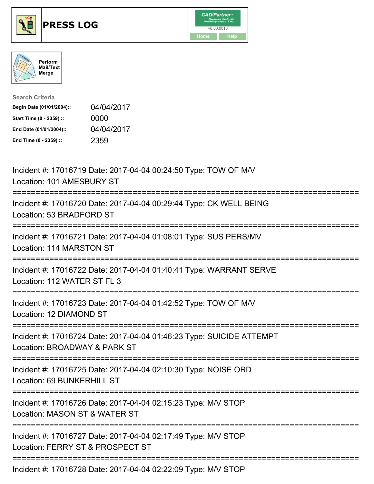





| <b>Search Criteria</b>    |            |
|---------------------------|------------|
| Begin Date (01/01/2004):: | 04/04/2017 |
| Start Time (0 - 2359) ::  | 0000       |
| End Date (01/01/2004)::   | 04/04/2017 |
| End Time (0 - 2359) ::    | 2359       |

| Incident #: 17016719 Date: 2017-04-04 00:24:50 Type: TOW OF M/V<br>Location: 101 AMESBURY ST                                                                                    |
|---------------------------------------------------------------------------------------------------------------------------------------------------------------------------------|
| Incident #: 17016720 Date: 2017-04-04 00:29:44 Type: CK WELL BEING<br>Location: 53 BRADFORD ST<br>---------------                                                               |
| Incident #: 17016721 Date: 2017-04-04 01:08:01 Type: SUS PERS/MV<br>Location: 114 MARSTON ST<br>:===================================                                            |
| Incident #: 17016722 Date: 2017-04-04 01:40:41 Type: WARRANT SERVE<br>Location: 112 WATER ST FL 3<br>================================<br>====================================== |
| Incident #: 17016723 Date: 2017-04-04 01:42:52 Type: TOW OF M/V<br>Location: 12 DIAMOND ST                                                                                      |
| Incident #: 17016724 Date: 2017-04-04 01:46:23 Type: SUICIDE ATTEMPT<br>Location: BROADWAY & PARK ST                                                                            |
| Incident #: 17016725 Date: 2017-04-04 02:10:30 Type: NOISE ORD<br>Location: 69 BUNKERHILL ST                                                                                    |
| Incident #: 17016726 Date: 2017-04-04 02:15:23 Type: M/V STOP<br>Location: MASON ST & WATER ST                                                                                  |
| Incident #: 17016727 Date: 2017-04-04 02:17:49 Type: M/V STOP<br>Location: FERRY ST & PROSPECT ST                                                                               |
| Incident #: 17016728 Date: 2017-04-04 02:22:09 Type: M/V STOP                                                                                                                   |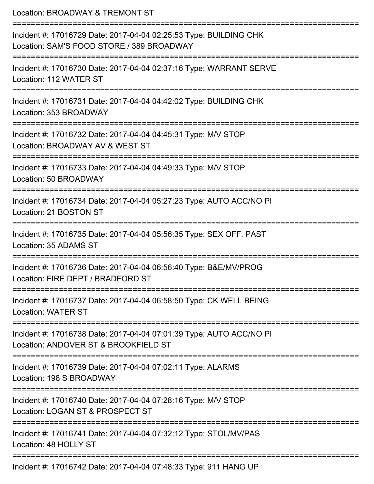| Location: BROADWAY & TREMONT ST<br>=======================                                                     |
|----------------------------------------------------------------------------------------------------------------|
| Incident #: 17016729 Date: 2017-04-04 02:25:53 Type: BUILDING CHK<br>Location: SAM'S FOOD STORE / 389 BROADWAY |
| Incident #: 17016730 Date: 2017-04-04 02:37:16 Type: WARRANT SERVE<br>Location: 112 WATER ST                   |
| Incident #: 17016731 Date: 2017-04-04 04:42:02 Type: BUILDING CHK<br>Location: 353 BROADWAY                    |
| Incident #: 17016732 Date: 2017-04-04 04:45:31 Type: M/V STOP<br>Location: BROADWAY AV & WEST ST               |
| Incident #: 17016733 Date: 2017-04-04 04:49:33 Type: M/V STOP<br>Location: 50 BROADWAY                         |
| Incident #: 17016734 Date: 2017-04-04 05:27:23 Type: AUTO ACC/NO PI<br>Location: 21 BOSTON ST                  |
| Incident #: 17016735 Date: 2017-04-04 05:56:35 Type: SEX OFF. PAST<br>Location: 35 ADAMS ST                    |
| Incident #: 17016736 Date: 2017-04-04 06:56:40 Type: B&E/MV/PROG<br>Location: FIRE DEPT / BRADFORD ST          |
| Incident #: 17016737 Date: 2017-04-04 06:58:50 Type: CK WELL BEING<br><b>Location: WATER ST</b>                |
| Incident #: 17016738 Date: 2017-04-04 07:01:39 Type: AUTO ACC/NO PI<br>Location: ANDOVER ST & BROOKFIELD ST    |
| Incident #: 17016739 Date: 2017-04-04 07:02:11 Type: ALARMS<br>Location: 198 S BROADWAY                        |
| Incident #: 17016740 Date: 2017-04-04 07:28:16 Type: M/V STOP<br>Location: LOGAN ST & PROSPECT ST              |
| Incident #: 17016741 Date: 2017-04-04 07:32:12 Type: STOL/MV/PAS<br>Location: 48 HOLLY ST                      |
| Incident #: 17016742 Date: 2017-04-04 07:48:33 Type: 911 HANG UP                                               |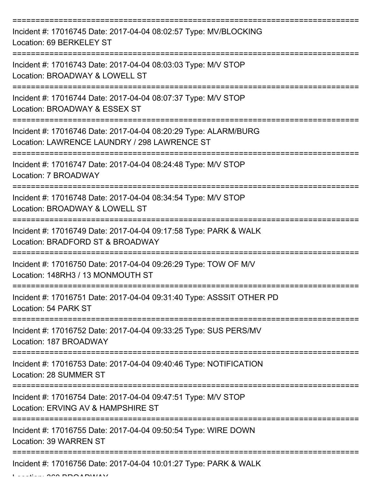| Incident #: 17016745 Date: 2017-04-04 08:02:57 Type: MV/BLOCKING<br>Location: 69 BERKELEY ST                    |
|-----------------------------------------------------------------------------------------------------------------|
| Incident #: 17016743 Date: 2017-04-04 08:03:03 Type: M/V STOP<br>Location: BROADWAY & LOWELL ST                 |
| Incident #: 17016744 Date: 2017-04-04 08:07:37 Type: M/V STOP<br>Location: BROADWAY & ESSEX ST                  |
| Incident #: 17016746 Date: 2017-04-04 08:20:29 Type: ALARM/BURG<br>Location: LAWRENCE LAUNDRY / 298 LAWRENCE ST |
| Incident #: 17016747 Date: 2017-04-04 08:24:48 Type: M/V STOP<br>Location: 7 BROADWAY                           |
| Incident #: 17016748 Date: 2017-04-04 08:34:54 Type: M/V STOP<br>Location: BROADWAY & LOWELL ST                 |
| Incident #: 17016749 Date: 2017-04-04 09:17:58 Type: PARK & WALK<br>Location: BRADFORD ST & BROADWAY            |
| Incident #: 17016750 Date: 2017-04-04 09:26:29 Type: TOW OF M/V<br>Location: 148RH3 / 13 MONMOUTH ST            |
| Incident #: 17016751 Date: 2017-04-04 09:31:40 Type: ASSSIT OTHER PD<br>Location: 54 PARK ST                    |
| Incident #: 17016752 Date: 2017-04-04 09:33:25 Type: SUS PERS/MV<br>Location: 187 BROADWAY                      |
| Incident #: 17016753 Date: 2017-04-04 09:40:46 Type: NOTIFICATION<br>Location: 28 SUMMER ST                     |
| Incident #: 17016754 Date: 2017-04-04 09:47:51 Type: M/V STOP<br>Location: ERVING AV & HAMPSHIRE ST             |
| Incident #: 17016755 Date: 2017-04-04 09:50:54 Type: WIRE DOWN<br>Location: 39 WARREN ST                        |
| Incident #: 17016756 Date: 2017-04-04 10:01:27 Type: PARK & WALK                                                |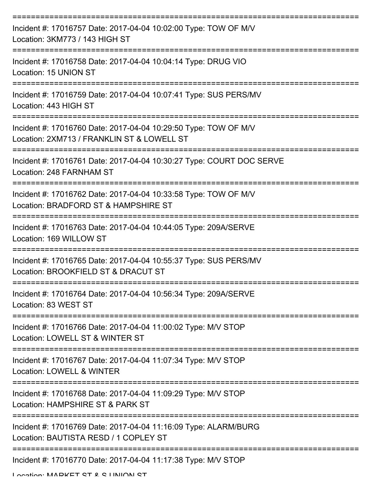| Incident #: 17016757 Date: 2017-04-04 10:02:00 Type: TOW OF M/V<br>Location: 3KM773 / 143 HIGH ST                                          |
|--------------------------------------------------------------------------------------------------------------------------------------------|
| Incident #: 17016758 Date: 2017-04-04 10:04:14 Type: DRUG VIO<br>Location: 15 UNION ST                                                     |
| Incident #: 17016759 Date: 2017-04-04 10:07:41 Type: SUS PERS/MV<br>Location: 443 HIGH ST                                                  |
| Incident #: 17016760 Date: 2017-04-04 10:29:50 Type: TOW OF M/V<br>Location: 2XM713 / FRANKLIN ST & LOWELL ST                              |
| Incident #: 17016761 Date: 2017-04-04 10:30:27 Type: COURT DOC SERVE<br>Location: 248 FARNHAM ST                                           |
| ===============================<br>Incident #: 17016762 Date: 2017-04-04 10:33:58 Type: TOW OF M/V<br>Location: BRADFORD ST & HAMPSHIRE ST |
| Incident #: 17016763 Date: 2017-04-04 10:44:05 Type: 209A/SERVE<br>Location: 169 WILLOW ST                                                 |
| :==================<br>Incident #: 17016765 Date: 2017-04-04 10:55:37 Type: SUS PERS/MV<br>Location: BROOKFIELD ST & DRACUT ST             |
| Incident #: 17016764 Date: 2017-04-04 10:56:34 Type: 209A/SERVE<br>Location: 83 WEST ST                                                    |
| Incident #: 17016766 Date: 2017-04-04 11:00:02 Type: M/V STOP<br>Location: LOWELL ST & WINTER ST                                           |
| Incident #: 17016767 Date: 2017-04-04 11:07:34 Type: M/V STOP<br>Location: LOWELL & WINTER                                                 |
| Incident #: 17016768 Date: 2017-04-04 11:09:29 Type: M/V STOP<br>Location: HAMPSHIRE ST & PARK ST                                          |
| Incident #: 17016769 Date: 2017-04-04 11:16:09 Type: ALARM/BURG<br>Location: BAUTISTA RESD / 1 COPLEY ST                                   |
| Incident #: 17016770 Date: 2017-04-04 11:17:38 Type: M/V STOP                                                                              |

Location: MADKET CT & C LINIION CT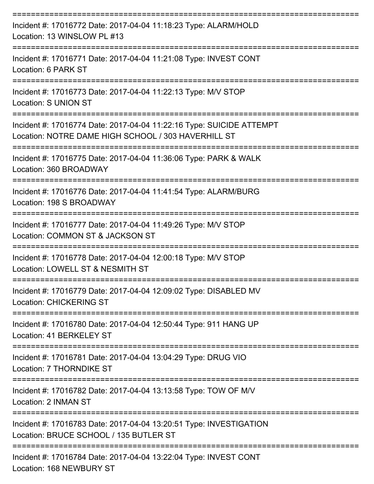| Incident #: 17016772 Date: 2017-04-04 11:18:23 Type: ALARM/HOLD<br>Location: 13 WINSLOW PL #13                              |
|-----------------------------------------------------------------------------------------------------------------------------|
| Incident #: 17016771 Date: 2017-04-04 11:21:08 Type: INVEST CONT<br>Location: 6 PARK ST                                     |
| Incident #: 17016773 Date: 2017-04-04 11:22:13 Type: M/V STOP<br><b>Location: S UNION ST</b>                                |
| Incident #: 17016774 Date: 2017-04-04 11:22:16 Type: SUICIDE ATTEMPT<br>Location: NOTRE DAME HIGH SCHOOL / 303 HAVERHILL ST |
| Incident #: 17016775 Date: 2017-04-04 11:36:06 Type: PARK & WALK<br>Location: 360 BROADWAY                                  |
| Incident #: 17016776 Date: 2017-04-04 11:41:54 Type: ALARM/BURG<br>Location: 198 S BROADWAY                                 |
| Incident #: 17016777 Date: 2017-04-04 11:49:26 Type: M/V STOP<br>Location: COMMON ST & JACKSON ST                           |
| Incident #: 17016778 Date: 2017-04-04 12:00:18 Type: M/V STOP<br>Location: LOWELL ST & NESMITH ST                           |
| Incident #: 17016779 Date: 2017-04-04 12:09:02 Type: DISABLED MV<br><b>Location: CHICKERING ST</b>                          |
| --------------<br>Incident #: 17016780 Date: 2017-04-04 12:50:44 Type: 911 HANG UP<br>Location: 41 BERKELEY ST              |
| Incident #: 17016781 Date: 2017-04-04 13:04:29 Type: DRUG VIO<br>Location: 7 THORNDIKE ST                                   |
| Incident #: 17016782 Date: 2017-04-04 13:13:58 Type: TOW OF M/V<br>Location: 2 INMAN ST                                     |
| Incident #: 17016783 Date: 2017-04-04 13:20:51 Type: INVESTIGATION<br>Location: BRUCE SCHOOL / 135 BUTLER ST                |
| Incident #: 17016784 Date: 2017-04-04 13:22:04 Type: INVEST CONT<br>Location: 168 NEWBURY ST                                |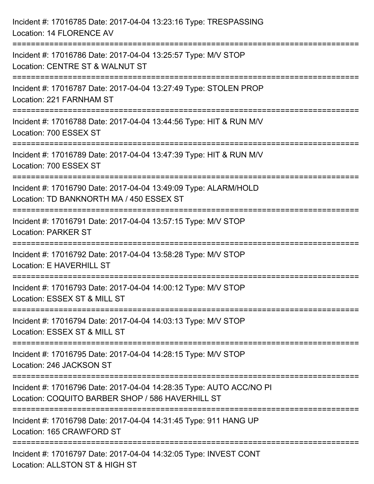| Incident #: 17016785 Date: 2017-04-04 13:23:16 Type: TRESPASSING<br>Location: 14 FLORENCE AV                                 |
|------------------------------------------------------------------------------------------------------------------------------|
| Incident #: 17016786 Date: 2017-04-04 13:25:57 Type: M/V STOP<br>Location: CENTRE ST & WALNUT ST                             |
| Incident #: 17016787 Date: 2017-04-04 13:27:49 Type: STOLEN PROP<br>Location: 221 FARNHAM ST                                 |
| ============================<br>Incident #: 17016788 Date: 2017-04-04 13:44:56 Type: HIT & RUN M/V<br>Location: 700 ESSEX ST |
| Incident #: 17016789 Date: 2017-04-04 13:47:39 Type: HIT & RUN M/V<br>Location: 700 ESSEX ST                                 |
| Incident #: 17016790 Date: 2017-04-04 13:49:09 Type: ALARM/HOLD<br>Location: TD BANKNORTH MA / 450 ESSEX ST                  |
| Incident #: 17016791 Date: 2017-04-04 13:57:15 Type: M/V STOP<br><b>Location: PARKER ST</b>                                  |
| Incident #: 17016792 Date: 2017-04-04 13:58:28 Type: M/V STOP<br>Location: E HAVERHILL ST                                    |
| Incident #: 17016793 Date: 2017-04-04 14:00:12 Type: M/V STOP<br>Location: ESSEX ST & MILL ST                                |
| Incident #: 17016794 Date: 2017-04-04 14:03:13 Type: M/V STOP<br>Location: ESSEX ST & MILL ST                                |
| Incident #: 17016795 Date: 2017-04-04 14:28:15 Type: M/V STOP<br>Location: 246 JACKSON ST                                    |
| Incident #: 17016796 Date: 2017-04-04 14:28:35 Type: AUTO ACC/NO PI<br>Location: COQUITO BARBER SHOP / 586 HAVERHILL ST      |
| Incident #: 17016798 Date: 2017-04-04 14:31:45 Type: 911 HANG UP<br>Location: 165 CRAWFORD ST                                |
| Incident #: 17016797 Date: 2017-04-04 14:32:05 Type: INVEST CONT<br>Location: ALLSTON ST & HIGH ST                           |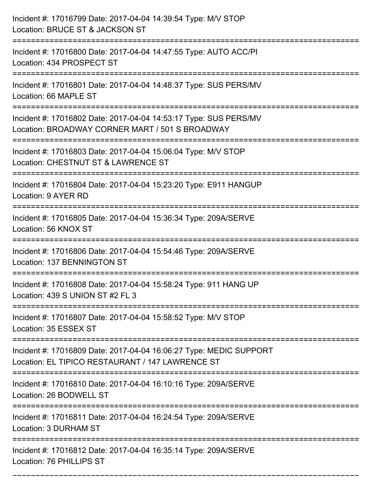| Incident #: 17016799 Date: 2017-04-04 14:39:54 Type: M/V STOP<br>Location: BRUCE ST & JACKSON ST                       |
|------------------------------------------------------------------------------------------------------------------------|
| Incident #: 17016800 Date: 2017-04-04 14:47:55 Type: AUTO ACC/PI<br>Location: 434 PROSPECT ST                          |
| Incident #: 17016801 Date: 2017-04-04 14:48:37 Type: SUS PERS/MV<br>Location: 66 MAPLE ST                              |
| Incident #: 17016802 Date: 2017-04-04 14:53:17 Type: SUS PERS/MV<br>Location: BROADWAY CORNER MART / 501 S BROADWAY    |
| Incident #: 17016803 Date: 2017-04-04 15:06:04 Type: M/V STOP<br>Location: CHESTNUT ST & LAWRENCE ST                   |
| Incident #: 17016804 Date: 2017-04-04 15:23:20 Type: E911 HANGUP<br>Location: 9 AYER RD                                |
| Incident #: 17016805 Date: 2017-04-04 15:36:34 Type: 209A/SERVE<br>Location: 56 KNOX ST                                |
| Incident #: 17016806 Date: 2017-04-04 15:54:46 Type: 209A/SERVE<br><b>Location: 137 BENNINGTON ST</b>                  |
| Incident #: 17016808 Date: 2017-04-04 15:58:24 Type: 911 HANG UP<br>Location: 439 S UNION ST #2 FL 3                   |
| Incident #: 17016807 Date: 2017-04-04 15:58:52 Type: M/V STOP<br>Location: 35 ESSEX ST                                 |
| Incident #: 17016809 Date: 2017-04-04 16:06:27 Type: MEDIC SUPPORT<br>Location: EL TIPICO RESTAURANT / 147 LAWRENCE ST |
| Incident #: 17016810 Date: 2017-04-04 16:10:16 Type: 209A/SERVE<br>Location: 26 BODWELL ST                             |
| Incident #: 17016811 Date: 2017-04-04 16:24:54 Type: 209A/SERVE<br>Location: 3 DURHAM ST                               |
| Incident #: 17016812 Date: 2017-04-04 16:35:14 Type: 209A/SERVE<br>Location: 76 PHILLIPS ST                            |

===========================================================================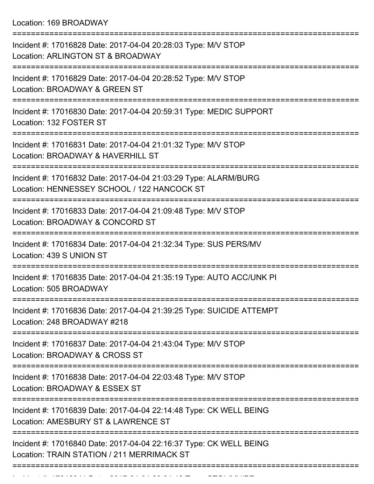Location: 169 BROADWAY

| Incident #: 17016828 Date: 2017-04-04 20:28:03 Type: M/V STOP<br>Location: ARLINGTON ST & BROADWAY               |
|------------------------------------------------------------------------------------------------------------------|
| Incident #: 17016829 Date: 2017-04-04 20:28:52 Type: M/V STOP<br>Location: BROADWAY & GREEN ST                   |
| Incident #: 17016830 Date: 2017-04-04 20:59:31 Type: MEDIC SUPPORT<br>Location: 132 FOSTER ST                    |
| Incident #: 17016831 Date: 2017-04-04 21:01:32 Type: M/V STOP<br>Location: BROADWAY & HAVERHILL ST               |
| Incident #: 17016832 Date: 2017-04-04 21:03:29 Type: ALARM/BURG<br>Location: HENNESSEY SCHOOL / 122 HANCOCK ST   |
| Incident #: 17016833 Date: 2017-04-04 21:09:48 Type: M/V STOP<br>Location: BROADWAY & CONCORD ST                 |
| Incident #: 17016834 Date: 2017-04-04 21:32:34 Type: SUS PERS/MV<br>Location: 439 S UNION ST                     |
| Incident #: 17016835 Date: 2017-04-04 21:35:19 Type: AUTO ACC/UNK PI<br>Location: 505 BROADWAY                   |
| Incident #: 17016836 Date: 2017-04-04 21:39:25 Type: SUICIDE ATTEMPT<br>Location: 248 BROADWAY #218              |
| Incident #: 17016837 Date: 2017-04-04 21:43:04 Type: M/V STOP<br>Location: BROADWAY & CROSS ST                   |
| Incident #: 17016838 Date: 2017-04-04 22:03:48 Type: M/V STOP<br>Location: BROADWAY & ESSEX ST                   |
| Incident #: 17016839 Date: 2017-04-04 22:14:48 Type: CK WELL BEING<br>Location: AMESBURY ST & LAWRENCE ST        |
| Incident #: 17016840 Date: 2017-04-04 22:16:37 Type: CK WELL BEING<br>Location: TRAIN STATION / 211 MERRIMACK ST |
|                                                                                                                  |